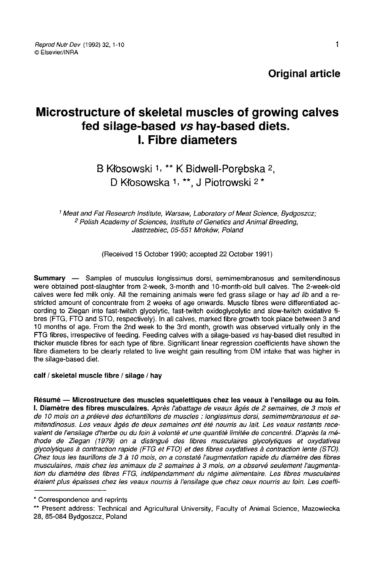Original article

# Microstructure of skeletal muscles of growing calves fed silage-based vs hay-based diets. I. Fibre diameters

B Kłosowski 1, \*\* K Bidwell-Porębska 2, D Kłosowska 1, \*\*. J Piotrowski 2 \*

<sup>1</sup> Meat and Fat Research Institute, Warsaw, Laboratory of Meat Science, Bydgoszcz;<br><sup>2</sup> Polish Academy of Sciences, Institute of Genetics and Animal Breeding, Jastrzebiec, 05-551 Mroków, Poland

(Received 15 October 1990; accepted 22 October 1991)

Summary ― Samples of musculus longissimus dorsi, semimembranosus and semitendinosus were obtained post-slaughter from 2-week, 3-month and 10-month-old bull calves. The 2-week-old calves were fed milk only. All the remaining animals were fed grass silage or hav ad lib and a restricted amount of concentrate from 2 weeks of age onwards. Muscle fibres were differentiated according to Ziegan into fast-twitch glycolytic, fast-twitch oxidoglycolytic and slow-twitch oxidative fibres (FTG, FTO and STO, respectively). In all calves, marked fibre growth took place between 3 and 10 months of age. From the 2nd week to the 3rd month, growth was observed virtually only in the FTG fibres, irrespective of feeding. Feeding calves with a silage-based vs hay-based diet resulted in thicker muscle fibres for each type of fibre. Significant linear regression coefficients have shown the fibre diameters to be clearly related to live weight gain resulting from DM intake that was higher in the silage-based diet.

## calf / skeletal muscle fibre / silage / hay

Résumé ― Microstructure des muscles squelettiques chez les veaux à l'ensilage ou au foin. 1. Diamètre des fibres musculaires. Après l'abattage de veaux âgés de 2 semaines, de 3 mois et de 10 mois on a prélevé des échantillons de muscles : longissimus dorsi, semimembranosus et semitendinosus. Les veaux âgés de deux semaines ont été nourris au lait. Les veaux restants recevaient de l'ensilage d'herbe ou du foin à volonté et une quantité limitée de concentré. D'après la méthode de Ziegan (1979) on a distingué des fibres musculaires glycolytiques et oxydatives glycolytiques à contraction rapide (FTG et FTO) et des fibres oxydatives à contraction lente (STO). Chez tous les taurillons de 3 à 10 mois, on a constaté l'augmentation rapide du diamètre des fibres musculaires, mais chez les animaux de 2 semaines à 3 mois, on a observé seulement l'augmentation du diamètre des fibres FTG, indépendamment du régime alimentaire. Les fibres musculaires étaient plus épaisses chez les veaux nourris à l'ensilage que chez ceux nourris au foin. Les coeffi vaient de l'ensilage d'herbe ou du foin à volonté et une quantité limitée de concentré. D'après la mé-<br>thode de Ziegan (1979) on a distingué des fibres musculaires glycolytiques et oxydatives<br>glycolytiques à contraction ra

<sup>28, 85-084</sup> Bydgoszcz, Poland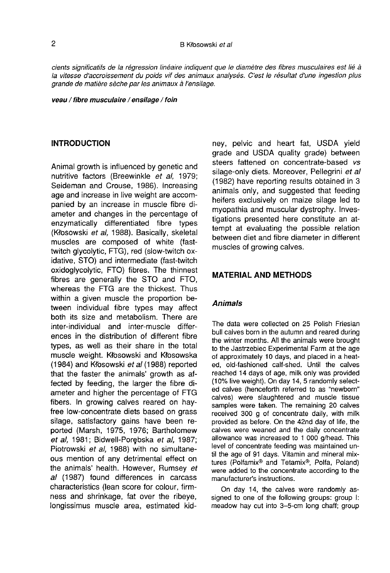cients significatifs de la régression linéaire indiquent que le diamètre des fibres musculaires est lié à la vitesse d'accroissement du poids vif des animaux analysés. C'est le résultat d'une ingestion plus grande de matière sèche par les animaux à l'ensilage.

veau / fibre musculaire / ensilage / foin

#### INTRODUCTION

Animal growth is influenced by genetic and nutritive factors (Breewinkle et al, 1979; Seideman and Crouse, 1986). Increasing age and increase in live weight are accompanied by an increase in muscle fibre diameter and changes in the percentage of enzymatically differentiated fibre types (Kfosowski et al, 1988). Basically, skeletal muscles are composed of white (fasttwitch glycolytic, FTG), red (slow-twitch oxidative, STO) and intermediate (fast-twitch oxidoglycolytic, FTO) fibres. The thinnest fibres are generally the STO and FTO, whereas the FTG are the thickest. Thus within a given muscle the proportion between individual fibre types may affect both its size and metabolism. There are inter-individual and inter-muscle differences in the distribution of different fibre types, as well as their share in the total muscle weight. Kłosowski and Kłosowska (1984) and Kłosowski et al (1988) reported that the faster the animals' growth as affected by feeding, the larger the fibre diameter and higher the percentage of FTG fibers. In growing calves reared on hayfree low-concentrate diets based on grass silage, satisfactory gains have been reported (Marsh, 1975, 1976; Bartholomew et al, 1981; Bidwell-Porębska et al, 1987; Piotrowski et al, 1988) with no simultaneous mention of any detrimental effect on the animals' health. However, Rumsey et al (1987) found differences in carcass characteristics (lean score for colour, firmness and shrinkage, fat over the ribeye, longissimus muscle area, estimated kidney, pelvic and heart fat, USDA yield grade and USDA quality grade) between steers fattened on concentrate-based vs silage-only diets. Moreover, Pellegrini et al (1982) have reporting results obtained in 3 animals only, and suggested that feeding heifers exclusively on maize silage led to myopathia and muscular dystrophy. Investigations presented here constitute an attempt at evaluating the possible relation between diet and fibre diameter in different muscles of growing calves.

## MATERIAL AND METHODS

## Animals

The data were collected on 25 Polish Friesian bull calves born in the autumn and reared during the winter months. All the animals were brought to the Jastrzebiec Experimental Farm at the age of approximately 10 days, and placed in a heated, old-fashioned calf-shed. Until the calves reached 14 days of age, milk only was provided (10% live weight). On day 14, 5 randomly selected calves (henceforth referred to as "newborn" calves) were slaughtered and muscle tissue samples were taken. The remaining 20 calves received 300 g of concentrate daily, with milk provided as before. On the 42nd day of life, the calves were weaned and the daily concentrate allowance was increased to 1 000 g/head. This level of concentrate feeding was maintained until the age of 91 days. Vitamin and mineral mixcalves were weaned and the daily concentrate<br>allowance was increased to 1 000 g/head. This<br>level of concentrate feeding was maintained un-<br>til the age of 91 days. Vitamin and mineral mix-<br>tures (Polfamix® and Tetamix®, Pol manufacturer's instructions.

On day 14, the calves were randomly assigned to one of the following groups: group I: meadow hay cut into 3-5-cm long chaff; group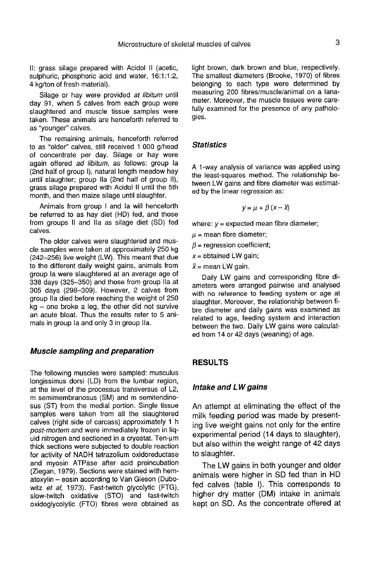II: grass silage prepared with Acidol II (acetic, sulphuric, phosphoric acid and water, 16:1:1:2, 4 kg/ton of fresh material).

Silage or hay were provided at libitum until day 91, when 5 calves from each group were slaughtered and muscle tissue samples were taken. These animals are henceforth referred to as "younger" calves.

The remaining animals, henceforth referred to as "older" calves, still received 1 000 g/head of concentrate per day. Silage or hay were again offered ad libitum, as follows: group la (2nd half of group I), natural length meadow hay until slaughter; group Ila (2nd half of group II), grass silage prepared with Acidol II until the 5th month, and then maize silage until slaughter.

Animals from group I and la will henceforth be referred to as hay diet (HD) fed, and those from groups II and Ila as silage diet (SD) fed calves.

The older calves were slaughtered and muscle samples were taken at approximately 250 kg (242-256) live weight (LW). This meant that due to the different daily weight gains, animals from group la were slaughtered at an average age of 338 days (325-350) and those from group Ila at 305 days (298-309). However, 2 calves from group Ila died before reaching the weight of 250 kg - one broke a leg, the other did not survive an acute bloat. Thus the results refer to 5 animals in group la and only 3 in group Ila.

## Muscle sampling and preparation

The following muscles were sampled: musculus longissimus dorsi (LD) from the lumbar region, at the level of the processus transversus of L2, m semimembranosus (SM) and m semitendinosus (ST) from the medial portion. Single tissue samples were taken from all the slaughtered calves (right side of carcass) approximately 1 h post-mortem and were immediately frozen in liquid nitrogen and sectioned in a cryostat. Ten-um thick sections were subjected to double reaction for activity of NADH tetrazolium oxidoreductase and myosin ATPase after acid preincubation (Ziegan, 1979). Sections were stained with hematoxylin - eosin according to Van Gieson (Dubowitz et al, 1973). Fast-twitch glycolytic (FTG), slow-twitch oxidative (STO) and fast-twitch oxidoglycolytic (FTO) fibres were obtained as light brown, dark brown and blue, respectively. The smallest diameters (Brooke, 1970) of fibres belonging to each type were determined by measuring 200 fibres/muscle/animal on a lanameter. Moreover, the muscle tissues were carefully examined for the presence of any pathologies.

## **Statistics**

A 1-way analysis of variance was applied using the least-squares method. The relationship between LW gains and fibre diameter was estimated by the linear regression as:

$$
y = \mu + \beta (x - \bar{x})
$$

where:  $v =$  expected mean fibre diameter;

 $\mu$  = mean fibre diameter;

 $\beta$  = regression coefficient;

 $x =$  obtained LW gain;

 $\bar{x}$  = mean LW gain.

Daily LW gains and corresponding fibre diameters were arranged pairwise and analysed with no reference to feeding system or age at slaughter. Moreover, the relationship between fibre diameter and daily gains was examined as related to age, feeding system and interaction between the two. Daily LW gains were calculated from 14 or 42 days (weaning) of age.

## RESULTS

## Intake and LW gains

An attempt at eliminating the effect of the milk feeding period was made by presenting live weight gains not only for the entire experimental period (14 days to slaughter), but also within the weight range of 42 days to slaughter.

The LW gains in both younger and older animals were higher in SD fed than in HD fed calves (table I). This corresponds to higher dry matter (DM) intake in animals kept on SD. As the concentrate offered at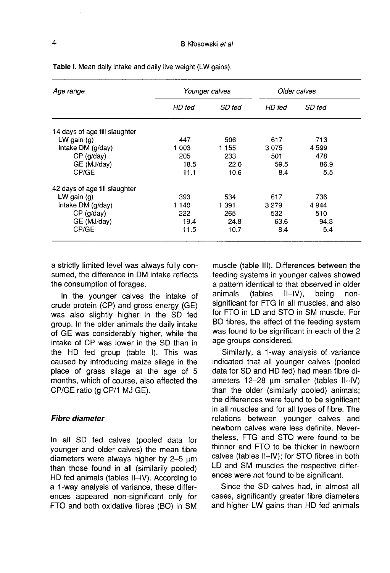| Age range                     |        | Younger calves |         | Older calves |
|-------------------------------|--------|----------------|---------|--------------|
|                               | HD fed | SD fed         | HD fed  | SD fed       |
| 14 days of age till slaughter |        |                |         |              |
| LW gain $(a)$                 | 447    | 506            | 617     | 713          |
| Intake DM (g/day)             | 1 003  | 1 1 5 5        | 3075    | 4599         |
| $CP$ (g/day)                  | 205    | 233            | 501     | 478          |
| GE (MJ/day)                   | 18.5   | 22.0           | 59.5    | 86.9         |
| CP/GE                         | 11.1   | 10.6           | 8.4     | 5.5          |
| 42 days of age till slaughter |        |                |         |              |
| LW gain $(q)$                 | 393    | 534            | 617     | 736          |
| Intake DM (g/day)             | 1 140  | 1 391          | 3 2 7 9 | 4944         |
| $CP$ ( $q$ /day)              | 222    | 265            | 532     | 510          |
| GE (MJ/day)                   | 19.4   | 24.8           | 63.6    | 94.3         |
| CP/GE                         | 11.5   | 10.7           | 8.4     | 5.4          |

Table I. Mean daily intake and daily live weight (LW gains).

a strictly limited level was always fully consumed, the difference in DM intake reflects the consumption of forages.

In the younger calves the intake of crude protein (CP) and gross energy (GE) was also slightly higher in the SD fed group. In the older animals the daily intake of GE was considerably higher, while the intake of CP was lower in the SD than in the HD fed group (table I). This was caused by introducing maize silage in the place of grass silage at the age of 5 months, which of course, also affected the CP/GE ratio (g CP/1 MJ GE).

## Fibre diameter

In all SD fed calves (pooled data for younger and older calves) the mean fibre diameters were always higher by  $2-5 \mu m$ than those found in all (similarily pooled) HD fed animals (tables ll-IV). According to a 1-way analysis of variance, these differences appeared non-significant only for FTO and both oxidative fibres (BO) in SM muscle (table 111). Differences between the feeding systems in younger calves showed a pattern identical to that observed in older<br>animals (tables II-IV), being non-(tables significant for FTG in all muscles, and also for FTO in LD and STO in SM muscle. For BO fibres, the effect of the feeding system was found to be significant in each of the 2 age groups considered.

Similarly, a 1-way analysis of variance indicated that all younger calves (pooled data for SD and HD fed) had mean fibre diameters  $12-28$  µm smaller (tables II-IV) than the older (similarly pooled) animals; the differences were found to be significant in all muscles and for all types of fibre. The relations between younger calves and newborn calves were less definite. Nevertheless, FTG and STO were found to be thinner and FTO to be thicker in newborn calves (tables II-IV); for STO fibres in both LD and SM muscles the respective differences were not found to be significant.

Since the SD calves had, in almost all cases, significantly greater fibre diameters and higher LW gains than HD fed animals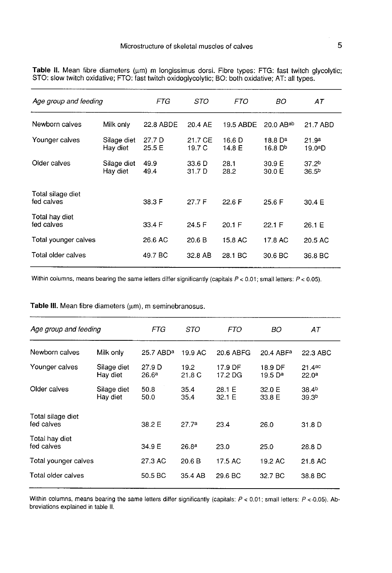| Age group and feeding           |                         | FTG              | STO               | <i>FTO</i>       | BO                             | АT                                     |
|---------------------------------|-------------------------|------------------|-------------------|------------------|--------------------------------|----------------------------------------|
| Newborn calves                  | Milk only               | 22.8 ABDE        | 20.4 AE           | 19.5 ABDE        | 20.0 ABab                      | 21.7 ABD                               |
| Younger calves                  | Silage diet<br>Hay diet | 27.7 D<br>25.5 E | 21.7 CE<br>19.7 C | 16.6 D<br>14.8 E | 18.8 D <sup>a</sup><br>16.8 Db | 21.9 <sup>a</sup><br>19.0ªD            |
| Older calves                    | Silage diet<br>Hay diet | 49.9<br>49.4     | 33.6 D<br>31.7 D  | 28.1<br>28.2     | 30.9 E<br>30.0 E               | 37.2 <sup>b</sup><br>36.5 <sup>b</sup> |
| Total silage diet<br>fed calves |                         | 38.3 F           | 27.7 F            | 22.6 F           | 25.6 F                         | 30.4 E                                 |
| Total hay diet<br>fed calves    |                         | 33.4 F           | 24.5 F            | 20.1 F           | 22.1 F                         | 26.1 E                                 |
| Total younger calves            |                         | 26.6 AC          | 20.6 B            | 15.8 AC          | 17.8 AC                        | 20.5 AC                                |
| Total older calves              |                         | 49.7 BC          | 32.8 AB           | 28.1 BC          | 30.6 BC                        | 36.8 BC                                |

Table II. Mean fibre diameters (um) m longissimus dorsi. Fibre types: FTG: fast twitch glycolytic; STO: slow twitch oxidative; FTO: fast twitch oxidoglycolytic; BO: both oxidative; AT: all types.

Within columns, means bearing the same letters differ significantly (capitals  $P < 0.01$ ; small letters:  $P < 0.05$ ).

Table III. Mean fibre diameters (um), m seminebranosus.

| Age group and feeding           |                         | FTG                         | STO               | <i>FTO</i>         | BO                    | АT                                     |
|---------------------------------|-------------------------|-----------------------------|-------------------|--------------------|-----------------------|----------------------------------------|
| Newborn calves                  | Milk only               | 25.7 ABD <sup>a</sup>       | 19.9 AC           | 20.6 ABFG          | 20.4 ABF <sup>a</sup> | 22.3 ABC                               |
| Younger calves                  | Silage diet<br>Hay diet | 27.9 D<br>26.6 <sup>a</sup> | 19.2<br>21.8 C    | 17.9 DF<br>17.2 DG | 18.9 DF<br>19.5 $D^a$ | 21.4ac<br>22.0 <sup>a</sup>            |
| Older calves                    | Silage diet<br>Hay diet | 50.8<br>50.0                | 35.4<br>35.4      | 28.1 E<br>32.1 E   | 32.0 E<br>33.8 E      | 38.4 <sup>b</sup><br>39.3 <sup>b</sup> |
| Total silage diet<br>fed calves |                         | 38.2 E                      | 27.7a             | 23.4               | 26.0                  | 31.8 D                                 |
| Total hay diet<br>fed calves    |                         | 34.9 E                      | 26.8 <sup>a</sup> | 23.0               | 25.0                  | 28.8 D                                 |
| Total younger calves            |                         | 27.3 AC                     | 20.6 B            | 17.5 AC            | 19.2 AC               | 21.8 AC                                |
| Total older calves              |                         | 50.5 BC                     | 35.4 AB           | 29.6 BC            | 32.7 BC               | 38.8 BC                                |

Within columns, means bearing the same letters differ significantly (capitals:  $P < 0.01$ ; small letters:  $P < 0.05$ ). Abbreviations explained in table II.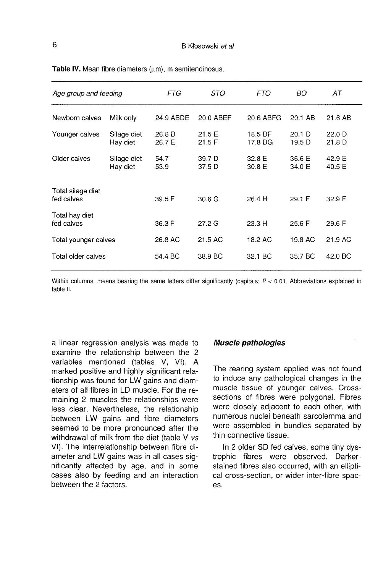| Age group and feeding           |                         | FTG              | STO               | <i>FTO</i>         | BO               | АT               |
|---------------------------------|-------------------------|------------------|-------------------|--------------------|------------------|------------------|
| Newborn calves                  | Milk only               | 24.9 ABDE        | 20.0 ABEF         | 20.6 ABFG          | 20.1 AB          | 21.6 AB          |
| Younger calves                  | Silage diet<br>Hay diet | 26.8 D<br>26.7 E | 21.5 E<br>21.5 F  | 18.5 DF<br>17.8 DG | 20.1 D<br>19.5 D | 22.0 D<br>21.8 D |
| Older calves                    | Silage diet<br>Hay diet | 54.7<br>53.9     | 39.7 D<br>37.5 D  | 32.8 E<br>30.8 E   | 36.6 E<br>34.0 E | 42.9 E<br>40.5 E |
| Total silage diet<br>fed calves |                         | 39.5 F           | 30.6 <sub>G</sub> | 26.4 H             | 29.1 F           | 32.9 F           |
| Total hay diet<br>fed calves    |                         | 36.3 F           | 27.2 <sub>G</sub> | 23.3H              | 25.6 F           | 29.6 F           |
| Total younger calves            |                         | 26.8 AC          | 21.5 AC           | 18.2 AC            | 19.8 AC          | 21.9 AC          |
| Total older calves              |                         | 54.4 BC          | 38.9 BC           | 32.1 BC            | 35.7 BC          | 42.0 BC          |

Table IV. Mean fibre diameters (um), m semitendinosus.

Within columns, means bearing the same letters differ significantly (capitals:  $P < 0.01$ . Abbreviations explained in table II.

a linear regression analysis was made to examine the relationship between the 2 variables mentioned (tables V, VI). A marked positive and highly significant relationship was found for LW gains and diameters of all fibres in LD muscle. For the remaining 2 muscles the relationships were less clear. Nevertheless, the relationship between LW gains and fibre diameters seemed to be more pronounced after the withdrawal of milk from the diet (table V vs VI). The interrelationship between fibre diameter and LW gains was in all cases significantly affected by age, and in some cases also by feeding and an interaction between the 2 factors.

## Muscle pathologies

The rearing system applied was not found to induce any pathological changes in the muscle tissue of younger calves. Crosssections of fibres were polygonal. Fibres were closely adjacent to each other, with numerous nuclei beneath sarcolemma and were assembled in bundles separated by thin connective tissue.

In 2 older SD fed calves, some tiny dystrophic fibres were observed. Darkerstained fibres also occurred, with an elliptical cross-section, or wider inter-fibre spaces.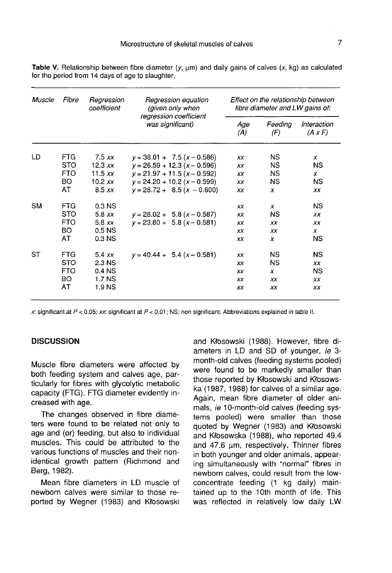| <i>Muscle</i> | Fibre                    | Regression<br>coefficient | Regression equation<br>(given only when    | Effect on the relationship between<br>fibre diameter and LW gains of: |                |                               |  |
|---------------|--------------------------|---------------------------|--------------------------------------------|-----------------------------------------------------------------------|----------------|-------------------------------|--|
|               |                          |                           | regression coefficient<br>was significant) | Age<br>(A)                                                            | Feeding<br>(F) | Interaction<br>$(A \times F)$ |  |
| LD            | FTG.                     | 7.5xx                     | $y = 38.01 + 7.5(x - 0.586)$               | XX                                                                    | NS.            | x                             |  |
|               | <b>STO</b><br><b>FTO</b> | 12.3 $xx$                 | $y = 26.59 + 12.3 (x - 0.596)$             | XX                                                                    | ΝS             | NS.                           |  |
|               |                          | 11.5 $xx$                 | $v = 21.97 + 11.5(x - 0.592)$              | XX                                                                    | NS.            | x                             |  |
|               | BO                       | $10.2$ $xx$               | $v = 24.20 + 10.2 (x - 0.599)$             | ХX                                                                    | ΝS             | ΝS                            |  |
|               | AT                       | 8.5xx                     | $v = 28.72 + 8.5(x - 0.600)$               | ХX                                                                    | x              | ХX                            |  |
| <b>SM</b>     | <b>FTG</b>               | 0.3 NS                    |                                            | ХX                                                                    | x              | ΝS                            |  |
|               | <b>STO</b>               | 5.8xx                     | $y = 28.02 + 5.8 (x - 0.587)$              | XX                                                                    | ΝS             | XX                            |  |
|               | <b>FTO</b>               | 5.8xx                     | $v = 23.80 + 5.8 (x - 0.581)$              | XX                                                                    | XX             | xх                            |  |
|               | <b>BO</b>                | 0.5 <sub>N</sub>          |                                            | ХX                                                                    | ХX             | x                             |  |
|               | AT                       | 0.3 <sub>N</sub>          |                                            | XX                                                                    | x              | NS                            |  |
| SТ            | <b>FTG</b>               | 5.4xx                     | $y = 40.44 + 5.4 (x - 0.581)$              | XX                                                                    | <b>NS</b>      | NS                            |  |
|               | <b>STO</b>               | 2.3 NS                    |                                            | xх                                                                    | NS.            | XX                            |  |
|               | <b>FTO</b>               | 0.4 <sub>N</sub>          |                                            | XX                                                                    | x              | NS                            |  |
|               | BO.                      | 1.7 NS                    |                                            | XX.                                                                   | XX.            | ХX                            |  |
|               | AT                       | 1.9 NS                    |                                            | xх                                                                    | xх             | xх                            |  |

Table V. Relationship between fibre diameter  $(y, \mu m)$  and daily gains of calves  $(x, kg)$  as calculated for the period from 14 days of age to slaughter.

x: significant at  $P < 0.05$ ; xx: significant at  $P < 0.01$ ; NS: non significant. Abbreviations explained in table II.

## **DISCUSSION**

Muscle fibre diameters were affected by both feeding system and calves age, particularly for fibres with glycolytic metabolic capacity (FTG). FTG diameter evidently increased with age.

The changes observed in fibre diameters were found to be related not only to age and (or) feeding, but also to individual muscles. This could be attributed to the various functions of muscles and their nonidentical growth pattern (Richmond and Berg, 1982).

Mean fibre diameters in LD muscle of newborn calves were similar to those reported by Wegner (1983) and Kłosowski

and Kłosowski (1988). However, fibre diameters in LD and SD of younger, ie 3month-old calves (feeding systems pooled) were found to be markedly smaller than those reported by Kfosowski and Kfosowska (1987, 1988) for calves of a similar age. Again, mean fibre diameter of older animals, ie 10-month-old calves (feeding systems pooled) were smaller than those quoted by Wegner (1983) and Kfosowski and Kłosowska (1988), who reported 49.4 and 47.6 um, respectively. Thinner fibres in both younger and older animals, appearing simultaneously with "normal" fibres in newborn calves, could result from the lowconcentrate feeding (1 kg daily) maintained up to the 10th month of life. This was reflected in relatively low daily LW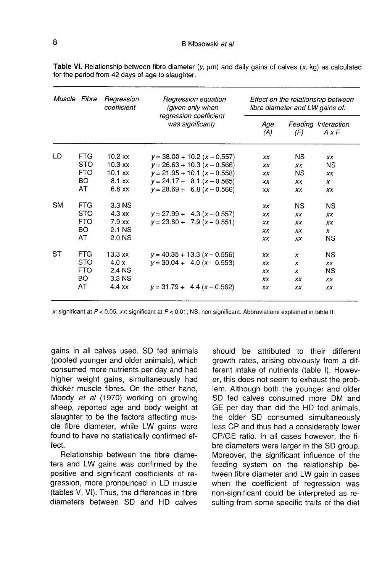| Muscle Fibre |                                            | Regression<br>coefficient | Regression equation<br>(given only when | Effect on the relationship between<br>fibre diameter and LW gains of: |                                     |                  |  |
|--------------|--------------------------------------------|---------------------------|-----------------------------------------|-----------------------------------------------------------------------|-------------------------------------|------------------|--|
|              | regression coefficient<br>was significant) |                           | Age<br>(A)                              | (F)                                                                   | Feeding Interaction<br>$A \times F$ |                  |  |
| LD           | FTG.                                       | $10.2$ xx                 | $y = 38.00 + 10.2 (x - 0.557)$          | XX                                                                    | NS.                                 | XX               |  |
|              | <b>STO</b>                                 | $10.3$ xx                 | $y = 26.63 + 10.3 (x - 0.566)$          | xх                                                                    | <b>XX</b>                           | NS.              |  |
|              | <b>FTO</b>                                 | $10.1$ xx                 | $y = 21.95 + 10.1$ (x - 0.558)          | XX                                                                    | NS.                                 | XX               |  |
|              | BO                                         | $8.1$ xx                  | $y = 24.17 + 8.1(x - 0.565)$            | ХX                                                                    | XX                                  | x                |  |
|              | AT                                         | $6.8$ xx                  | $v = 28.69 + 6.8 (x - 0.566)$           | XX                                                                    | XX                                  | ХX               |  |
| <b>SM</b>    | <b>FTG</b>                                 | 3.3 NS                    |                                         | XX                                                                    | <b>NS</b>                           | <b>NS</b>        |  |
|              | <b>STO</b>                                 | $4.3 \times x$            | $y = 27.99 + 4.3(x - 0.557)$            | XX                                                                    | XX                                  | ХX               |  |
|              | <b>FTO</b>                                 | $7.9$ xx                  | $y = 23.80 + 7.9(x - 0.551)$            | XX                                                                    | XX                                  | XX               |  |
|              | BO.                                        | 2.1 NS                    |                                         | XX                                                                    | XX.                                 | $\boldsymbol{x}$ |  |
|              | AT                                         | 2.0 NS                    |                                         | XX                                                                    | ХX                                  | <b>NS</b>        |  |
| SТ           | <b>FTG</b>                                 | $13.3 \text{ xx}$         | $y = 40.35 + 13.3 (x - 0.556)$          | XX                                                                    | x                                   | <b>NS</b>        |  |
|              | <b>STO</b>                                 | 4.0 x                     | $y = 30.04 + 4.0 (x - 0.553)$           | <b>XX</b>                                                             | x                                   | XX               |  |
|              | <b>FTO</b>                                 | 2.4 NS                    |                                         | ХX                                                                    | $\boldsymbol{x}$                    | NS               |  |
|              | BO.                                        | 3.3 NS                    |                                         | ХX                                                                    | ХX                                  | ХX               |  |
|              | AT                                         | 4.4 xx                    | $y = 31.79 + 4.4(x - 0.562)$            | ХX                                                                    | ХX                                  | ХX               |  |

Table VI. Relationship between fibre diameter  $(y, \mu m)$  and daily gains of calves  $(x, kg)$  as calculated for the period from 42 days of age to slaughter.

x: significant at  $P < 0.05$ , xx: significant at  $P < 0.01$ ; NS: non significant. Abbreviations explained in table II.

gains in all calves used. SD fed animals (pooled younger and older animals), which consumed more nutrients per day and had higher weight gains, simultaneously had thicker muscle fibres. On the other hand, Moody et al (1970) working on growing sheep, reported age and body weight at slaughter to be the factors affecting muscle fibre diameter, while LW gains were found to have no statistically confirmed effect.

Relationship between the fibre diameters and LW gains was confirmed by the positive and significant coefficients of regression, more pronounced in LD muscle (tables V, VI). Thus, the differences in fibre diameters between SD and HD calves should be attributed to their different growth rates, arising obviously from a different intake of nutrients (table I). However, this does not seem to exhaust the problem. Although both the younger and older SD fed calves consumed more DM and GE per day than did the HD fed animals, the older SD consumed simultaneously less CP and thus had a considerably lower CP/GE ratio. In all cases however, the fibre diameters were larger in the SD group. Moreover, the significant influence of the feeding system on the relationship between fibre diameter and LW gain in cases when the coefficient of regression was non-significant could be interpreted as resulting from some specific traits of the diet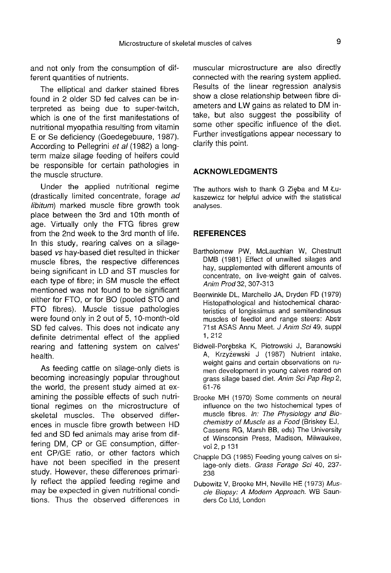and not only from the consumption of different quantities of nutrients.

The elliptical and darker stained fibres found in 2 older SD fed calves can be interpreted as being due to super-twitch, which is one of the first manifestations of nutritional myopathia resulting from vitamin E or Se deficiency (Goedegebuure, 1987). According to Pellegrini et al (1982) a longterm maize silage feeding of heifers could be responsible for certain pathologies in the muscle structure.

Under the applied nutritional regime (drastically limited concentrate, forage ad libitum) marked muscle fibre growth took place between the 3rd and 10th month of age. Virtually only the FTG fibres grew from the 2nd week to the 3rd month of life. In this study, rearing calves on a silagebased vs hay-based diet resulted in thicker muscle fibres, the respective differences being significant in LD and ST muscles for each type of fibre; in SM muscle the effect mentioned was not found to be significant either for FTO, or for BO (pooled STO and FTO fibres). Muscle tissue pathologies were found only in 2 out of 5, 10-month-old SD fed calves. This does not indicate any definite detrimental effect of the applied rearing and fattening system on calves' health.

As feeding cattle on silage-only diets is becoming increasingly popular throughout the world, the present study aimed at examining the possible effects of such nutritional regimes on the microstructure of skeletal muscles. The observed differences in muscle fibre growth between HD fed and SD fed animals may arise from differing DM, CP or GE consumption, different CP/GE ratio, or other factors which have not been specified in the present study. However, these differences primarily reflect the applied feeding regime and may be expected in given nutritional conditions. Thus the observed differences in

muscular microstructure are also directly connected with the rearing system applied. Results of the linear regression analysis show a close relationship between fibre diameters and LW gains as related to DM intake, but also suggest the possibility of some other specific influence of the diet. Further investigations appear necessary to clarify this point.

## ACKNOWLEDGMENTS

The authors wish to thank G Zieba and M Łukaszewicz for helpful advice with the statistical analyses.

## **REFERENCES**

- Bartholomew PW, McLauchlan W, Chestnutt DMB (1981) Effect of unwilted silages and hay, supplemented with different amounts of concentrate, on live-weight gain of calves. Anim Prod 32, 307-313
- Beerwinkle DL, Marchello JA, Dryden FD (1979) Histopathological and histochemical characteristics of longissimus and semitendinosus muscles of feedlot and range steers: Abstr 71st ASAS Annu Meet. J Anim Sci 49, suppl 1, 212
- Bidwell-Porgbska K, Piotrowski J, Baranowski A, Krzyzewski J (1987) Nutrient intake, weight gains and certain observations on rumen development in young calves reared on grass silage based diet. Anim Sci Pap Rep 2, 61-76
- Brooke MH (1970) Some comments on neural influence on the two histochemical types of muscle fibres. In: The Physiology and Biochemistry of Muscle as a Food (Briskey EJ, Cassens RG, Marsh BB, eds) The University of Winsconsin Press, Madison, Milwaukee, vol 2, p 131
- Chapple DG (1985) Feeding young calves on silage-only diets. Grass Forage Sci 40, 237-238
- Dubowitz V, Brooke MH, Neville HE (1973) Muscle Biopsy: A Modem Approach. WB Saunders Co Ltd, London